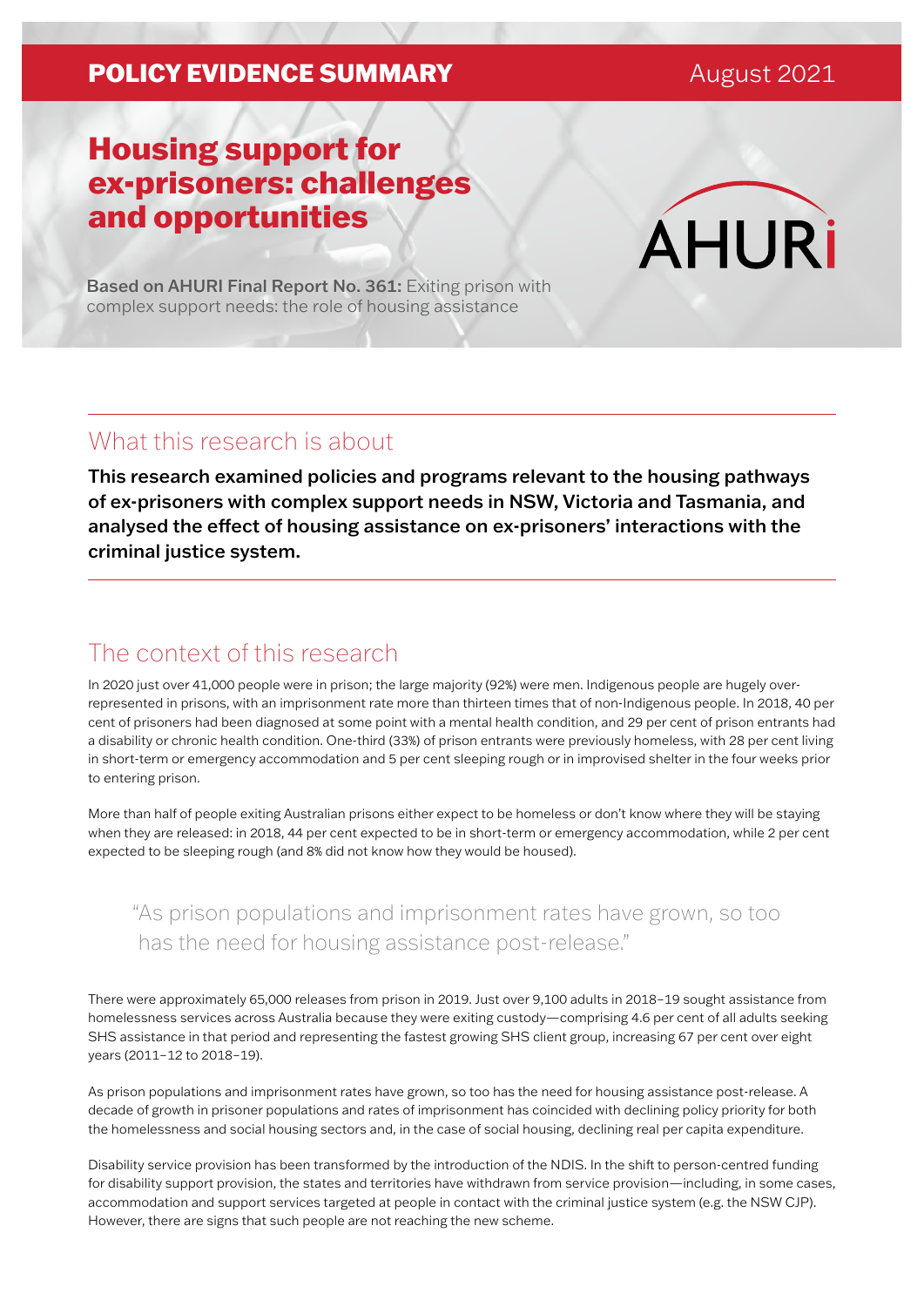### **POLICY EVIDENCE SUMMARY** August 2021

# Housing support for ex-prisoners: challenges and opportunities

**AHURi** 

Based on AHURI Final Report No. 361: Exiting prison with complex support needs: the role of housing assistance

## What this research is about

This research examined policies and programs relevant to the housing pathways of ex-prisoners with complex support needs in NSW, Victoria and Tasmania, and analysed the effect of housing assistance on ex-prisoners' interactions with the criminal justice system.

### The context of this research

In 2020 just over 41,000 people were in prison; the large majority (92%) were men. Indigenous people are hugely overrepresented in prisons, with an imprisonment rate more than thirteen times that of non-Indigenous people. In 2018, 40 per cent of prisoners had been diagnosed at some point with a mental health condition, and 29 per cent of prison entrants had a disability or chronic health condition. One-third (33%) of prison entrants were previously homeless, with 28 per cent living in short-term or emergency accommodation and 5 per cent sleeping rough or in improvised shelter in the four weeks prior to entering prison.

More than half of people exiting Australian prisons either expect to be homeless or don't know where they will be staying when they are released: in 2018, 44 per cent expected to be in short-term or emergency accommodation, while 2 per cent expected to be sleeping rough (and 8% did not know how they would be housed).

### "As prison populations and imprisonment rates have grown, so too has the need for housing assistance post-release."

There were approximately 65,000 releases from prison in 2019. Just over 9,100 adults in 2018–19 sought assistance from homelessness services across Australia because they were exiting custody—comprising 4.6 per cent of all adults seeking SHS assistance in that period and representing the fastest growing SHS client group, increasing 67 per cent over eight years (2011–12 to 2018–19).

As prison populations and imprisonment rates have grown, so too has the need for housing assistance post-release. A decade of growth in prisoner populations and rates of imprisonment has coincided with declining policy priority for both the homelessness and social housing sectors and, in the case of social housing, declining real per capita expenditure.

Disability service provision has been transformed by the introduction of the NDIS. In the shift to person-centred funding for disability support provision, the states and territories have withdrawn from service provision—including, in some cases, accommodation and support services targeted at people in contact with the criminal justice system (e.g. the NSW CJP). However, there are signs that such people are not reaching the new scheme.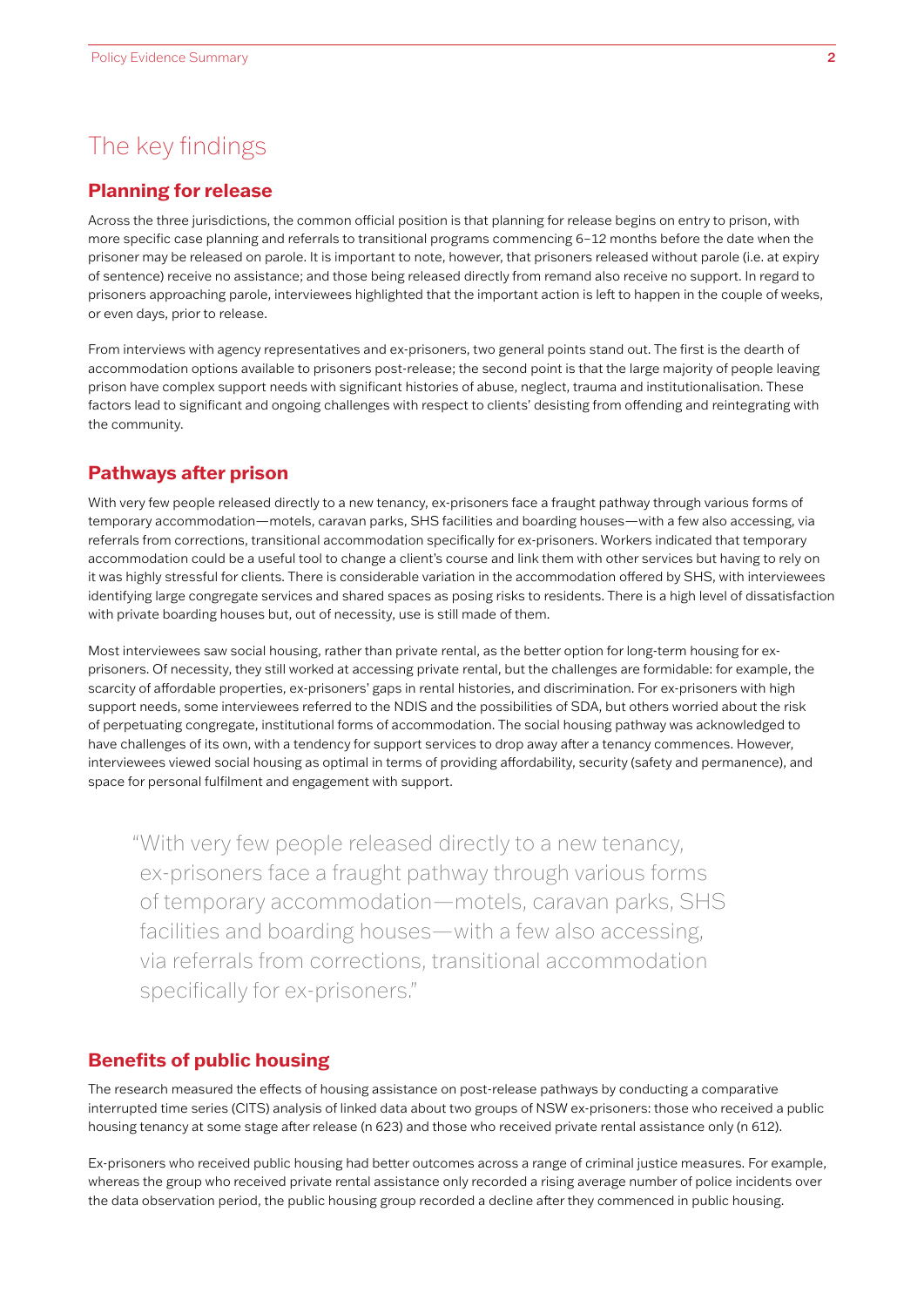### The key findings

#### **Planning for release**

Across the three jurisdictions, the common official position is that planning for release begins on entry to prison, with more specific case planning and referrals to transitional programs commencing 6–12 months before the date when the prisoner may be released on parole. It is important to note, however, that prisoners released without parole (i.e. at expiry of sentence) receive no assistance; and those being released directly from remand also receive no support. In regard to prisoners approaching parole, interviewees highlighted that the important action is left to happen in the couple of weeks, or even days, prior to release.

From interviews with agency representatives and ex-prisoners, two general points stand out. The first is the dearth of accommodation options available to prisoners post-release; the second point is that the large majority of people leaving prison have complex support needs with significant histories of abuse, neglect, trauma and institutionalisation. These factors lead to significant and ongoing challenges with respect to clients' desisting from offending and reintegrating with the community.

#### **Pathways after prison**

With very few people released directly to a new tenancy, ex-prisoners face a fraught pathway through various forms of temporary accommodation—motels, caravan parks, SHS facilities and boarding houses—with a few also accessing, via referrals from corrections, transitional accommodation specifically for ex-prisoners. Workers indicated that temporary accommodation could be a useful tool to change a client's course and link them with other services but having to rely on it was highly stressful for clients. There is considerable variation in the accommodation offered by SHS, with interviewees identifying large congregate services and shared spaces as posing risks to residents. There is a high level of dissatisfaction with private boarding houses but, out of necessity, use is still made of them.

Most interviewees saw social housing, rather than private rental, as the better option for long-term housing for exprisoners. Of necessity, they still worked at accessing private rental, but the challenges are formidable: for example, the scarcity of affordable properties, ex-prisoners' gaps in rental histories, and discrimination. For ex-prisoners with high support needs, some interviewees referred to the NDIS and the possibilities of SDA, but others worried about the risk of perpetuating congregate, institutional forms of accommodation. The social housing pathway was acknowledged to have challenges of its own, with a tendency for support services to drop away after a tenancy commences. However, interviewees viewed social housing as optimal in terms of providing affordability, security (safety and permanence), and space for personal fulfilment and engagement with support.

"With very few people released directly to a new tenancy, ex-prisoners face a fraught pathway through various forms of temporary accommodation—motels, caravan parks, SHS facilities and boarding houses—with a few also accessing, via referrals from corrections, transitional accommodation specifically for ex-prisoners."

### **Benefits of public housing**

The research measured the effects of housing assistance on post-release pathways by conducting a comparative interrupted time series (CITS) analysis of linked data about two groups of NSW ex-prisoners: those who received a public housing tenancy at some stage after release (n 623) and those who received private rental assistance only (n 612).

Ex-prisoners who received public housing had better outcomes across a range of criminal justice measures. For example, whereas the group who received private rental assistance only recorded a rising average number of police incidents over the data observation period, the public housing group recorded a decline after they commenced in public housing.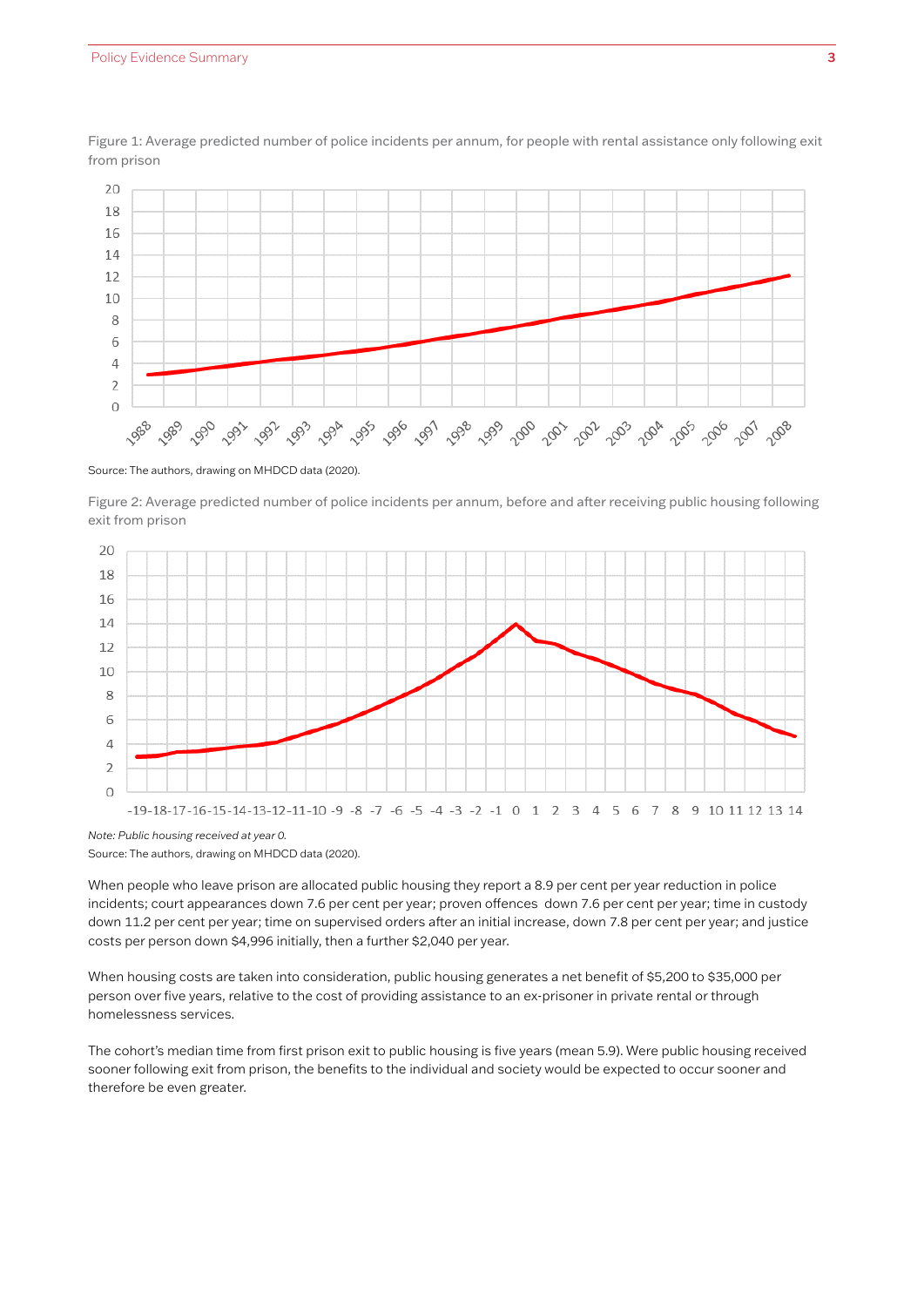

.<br>Figure 1: Average predicted number of police incidents per annum, for people with rental assistance only following exit from prison following exit from prison following exit from prison **only following exit from prison** -igure 1: Average predicted number of police incidents per annum, for people with rental assistance only following<br>rom prison

Source: The authors, drawing on MHDCD data (2020). Source: The authors, drawing on MHDCD data (2020). Source: The authors, drawing on MHDCD data (2020). Source: The authors, drawing on MHDCD data (2020). Source: The authors, drawing on MHDCD data (2020).

Figure 2: Average predicted number of police incidents per annum, before and after receiving public housing following following exit from prison **housing following exit from prison** exit from prison following exit from prison **housing following exit from prison**



Source: The authors, drawing on MHDCD data (2020). Source: The authors, drawing on MHDCD data (2020). Source: The authors, drawing on MHDCD data (2020). Source: The authors, drawing on MHDCD data (2020).

When people who leave prison are allocated public housing they report a 8.9 per cent per year reduction in police incidents; court appearances down 7.6 per cent per year; proven offences down 7.6 per cent per year; time in custody down 11.2 per cent per year; time on supervised orders after an initial increase, down 7.8 per cent per year; and justice abom 11.1 per cent per year, and on supervised crucis are an initial<br>costs per person down \$4,996 initially, then a further \$2,040 per year.

When housing costs are taken into consideration, public housing generates a net benefit of \$5,200 to \$35,000 per<br>... • Time on supervised orders: after an initial increase, down 7.8 per cent per year. • Time on supervised orders: after an initial increase, down 7.8 per cent per year. homelessness services. person over five years, relative to the cost of providing assistance to an ex-prisoner in private rental or through

The cohort's median time from first prison exit to public housing is five years (mean 5.9). Were public housing received sooner following exit from prison, the benefits to the individual and society would be expected to occur sooner and therefore be even greater.